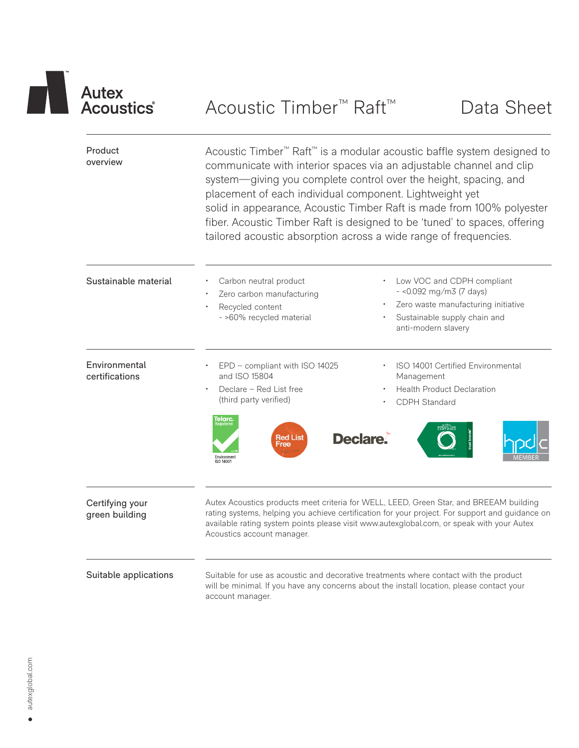| TM |                                  |
|----|----------------------------------|
|    | <b>Autex</b><br><b>Acoustics</b> |
|    |                                  |

| Product<br>overview               | Acoustic Timber <sup>™</sup> Raft <sup>™</sup> is a modular acoustic baffle system designed to<br>communicate with interior spaces via an adjustable channel and clip<br>system-giving you complete control over the height, spacing, and<br>placement of each individual component. Lightweight yet<br>solid in appearance, Acoustic Timber Raft is made from 100% polyester<br>fiber. Acoustic Timber Raft is designed to be 'tuned' to spaces, offering<br>tailored acoustic absorption across a wide range of frequencies. |                                                                                                                                                                                                                                                                                        |  |  |  |
|-----------------------------------|--------------------------------------------------------------------------------------------------------------------------------------------------------------------------------------------------------------------------------------------------------------------------------------------------------------------------------------------------------------------------------------------------------------------------------------------------------------------------------------------------------------------------------|----------------------------------------------------------------------------------------------------------------------------------------------------------------------------------------------------------------------------------------------------------------------------------------|--|--|--|
| Sustainable material              | Carbon neutral product<br>Zero carbon manufacturing<br>Recycled content<br>- >60% recycled material                                                                                                                                                                                                                                                                                                                                                                                                                            | Low VOC and CDPH compliant<br>$-$ <0.092 mg/m3 (7 days)<br>Zero waste manufacturing initiative<br>Sustainable supply chain and<br>anti-modern slavery                                                                                                                                  |  |  |  |
| Environmental<br>certifications   | EPD - compliant with ISO 14025<br>and ISO 15804<br>Declare - Red List free<br>(third party verified)<br><b>Telarc.</b><br>Registered<br><b>Red List</b><br>Free<br>Environment<br>ISO 14001                                                                                                                                                                                                                                                                                                                                    | ISO 14001 Certified Environmental<br>Management<br><b>Health Product Declaration</b><br>CDPH Standard<br><b>Declare.</b>                                                                                                                                                               |  |  |  |
| Certifying your<br>green building | Acoustics account manager.                                                                                                                                                                                                                                                                                                                                                                                                                                                                                                     | Autex Acoustics products meet criteria for WELL, LEED, Green Star, and BREEAM building<br>rating systems, helping you achieve certification for your project. For support and guidance on<br>available rating system points please visit www.autexglobal.com, or speak with your Autex |  |  |  |
| Suitable applications             | account manager.                                                                                                                                                                                                                                                                                                                                                                                                                                                                                                               | Suitable for use as acoustic and decorative treatments where contact with the product<br>will be minimal. If you have any concerns about the install location, please contact your                                                                                                     |  |  |  |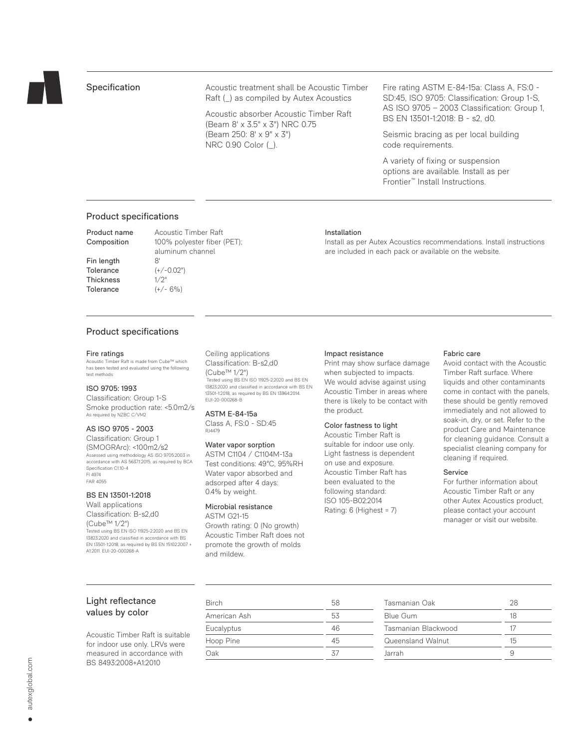

# Specification

Acoustic treatment shall be Acoustic Timber Raft (\_) as compiled by Autex Acoustics

Acoustic absorber Acoustic Timber Raft (Beam 8' x 3.5" x 3") NRC 0.75 (Beam 250: 8' x 9" x 3") NRC 0.90 Color (\_).

Fire rating ASTM E-84-15a: Class A, FS:0 - SD:45, ISO 9705: Classification: Group 1-S, AS ISO 9705 – 2003 Classification: Group 1, BS EN 13501-1:2018: B - s2, d0.

Seismic bracing as per local building code requirements.

A variety of fixing or suspension options are available. Install as per Frontier™ Install Instructions.

Install as per Autex Acoustics recommendations. Install instructions

are included in each pack or available on the website.

## Product specifications

Product name Acoustic Timber Raft Composition 100% polyester fiber (PET);

 aluminum channel Fin length 8' Tolerance (+/-0.02") Thickness 1/2" Tolerance  $(+/- 6%)$ 

# Product specifications

#### Fire ratings

Acoustic Timber Raft is made from Cube™ which has been tested and evaluated using the following test methods:

## ISO 9705: 1993

Classification: Group 1-S Smoke production rate: <5.0m2/s As required by NZBC C/VM2

### AS ISO 9705 - 2003

Classification: Group 1 (SMOGRArc): <100m2/s2 Assessed using methodology AS ISO 9705:2003 in accordance with AS 5637.1:2015, as required by BCA Specification C1.10-4 FI 4974 FAR 4055

#### BS EN 13501-1:2018

Wall applications Classification: B-s2,d0 (Cube™ 1/2") Tested using BS EN ISO 11925-2:2020 and BS EN 13823:2020 and classified in accordance with BS EN 13501-1:2018, as required by BS EN 15102:2007 + A1:2011. EUI-20-000268-A

## Ceiling applications Classification: B-s2,d0 (Cube™ 1/2")

 Tested using BS EN ISO 11925-2:2020 and BS EN 13823:2020 and classified in accordance with BS EN 13501-1:2018, as required by BS EN 13964:2014. EUI-20-000268-B

ASTM E-84-15a Class A, FS:0 - SD:45 RJ4479

## Water vapor sorption ASTM C1104 / C1104M-13a Test conditions: 49°C, 95%RH Water vapor absorbed and adsorped after 4 days: 0.4% by weight.

Microbial resistance ASTM G21-15

Growth rating: 0 (No growth) Acoustic Timber Raft does not promote the growth of molds and mildew.

### Impact resistance

Installation

Print may show surface damage when subjected to impacts. We would advise against using Acoustic Timber in areas where there is likely to be contact with the product.

## Color fastness to light

Acoustic Timber Raft is suitable for indoor use only. Light fastness is dependent on use and exposure. Acoustic Timber Raft has been evaluated to the following standard: ISO 105-B02:2014 Rating: 6 (Highest = 7)

### Fabric care

Avoid contact with the Acoustic Timber Raft surface. Where liquids and other contaminants come in contact with the panels, these should be gently removed immediately and not allowed to soak-in, dry, or set. Refer to the product Care and Maintenance for cleaning guidance. Consult a specialist cleaning company for cleaning if required.

#### Service

For further information about Acoustic Timber Raft or any other Autex Acoustics product, please contact your account manager or visit our website.

# Light reflectance values by color

Acoustic Timber Raft is suitable for indoor use only. LRVs were measured in accordance with BS 8493:2008+A1:2010

| Birch        | 58 |
|--------------|----|
| American Ash | 53 |
| Eucalyptus   | 46 |
| Hoop Pine    | 45 |
| Oak          | 37 |

| Tasmanian Oak       | 28 |
|---------------------|----|
| Blue Gum            | 18 |
| Tasmanian Blackwood | 17 |
| Queensland Walnut   | 15 |
| Jarrah              |    |